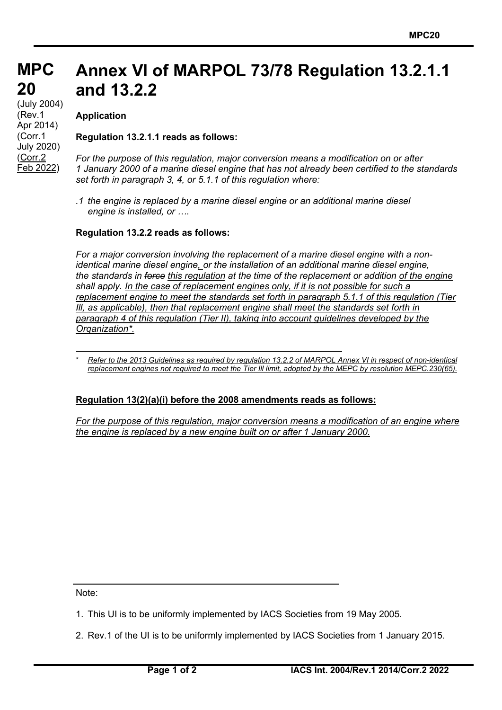#### **MPC MPC 20 20** (July 2004)<br>(Dav. 4 **Annex VI of MARPOL 73/78 Regulation 13.2.1.1 and 13.2.2**

**Application**

(Rev.1 Apr 2014) (Corr.1 July 2020) (Corr.2 Feb 2022)

## **Regulation 13.2.1.1 reads as follows:**

*For the purpose of this regulation, major conversion means a modification on or after 1 January 2000 of a marine diesel engine that has not already been certified to the standards set forth in paragraph 3, 4, or 5.1.1 of this regulation where:*

*.1 the engine is replaced by a marine diesel engine or an additional marine diesel engine is installed, or ….*

### **Regulation 13.2.2 reads as follows:**

*For a major conversion involving the replacement of a marine diesel engine with a nonidentical marine diesel engine, or the installation of an additional marine diesel engine, the standards in force this regulation at the time of the replacement or addition of the engine shall apply. In the case of replacement engines only, if it is not possible for such a replacement engine to meet the standards set forth in paragraph 5.1.1 of this regulation (Tier Ill, as applicable), then that replacement engine shall meet the standards set forth in paragraph 4 of this regulation (Tier II), taking into account guidelines developed by the Orqanization\*.*

# **Regulation 13(2)(a)(i) before the 2008 amendments reads as follows:**

*For the purpose of this regulation, major conversion means a modification of an engine where the engine is replaced by a new engine built on or after 1 January 2000.*

Note:

- 1. This UI is to be uniformly implemented by IACS Societies from 19 May 2005.
- 2. Rev.1 of the UI is to be uniformly implemented by IACS Societies from 1 January 2015.

<sup>\*</sup> *Refer to the 2013 Guidelines as required by regulation 13.2.2 of MARPOL Annex VI in respect of non-identical replacement engines not required to meet the Tier Ill limit, adopted by the MEPC by resolution MEPC.230(65).*